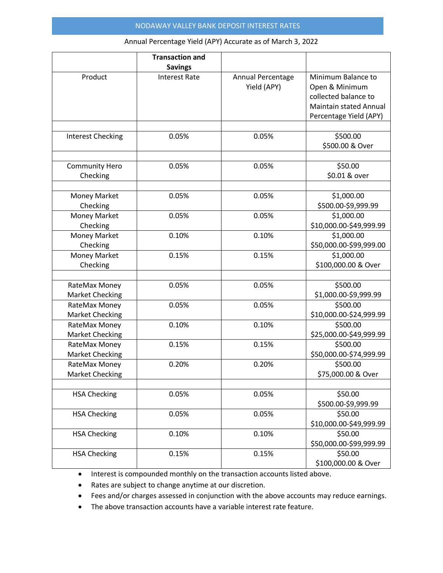|                                         | <b>Transaction and</b><br><b>Savings</b> |                                  |                                                                                                                         |
|-----------------------------------------|------------------------------------------|----------------------------------|-------------------------------------------------------------------------------------------------------------------------|
| Product                                 | <b>Interest Rate</b>                     | Annual Percentage<br>Yield (APY) | Minimum Balance to<br>Open & Minimum<br>collected balance to<br><b>Maintain stated Annual</b><br>Percentage Yield (APY) |
|                                         |                                          |                                  |                                                                                                                         |
| <b>Interest Checking</b>                | 0.05%                                    | 0.05%                            | \$500.00<br>\$500.00 & Over                                                                                             |
|                                         |                                          |                                  |                                                                                                                         |
| <b>Community Hero</b><br>Checking       | 0.05%                                    | 0.05%                            | \$50.00<br>\$0.01 & over                                                                                                |
|                                         |                                          |                                  |                                                                                                                         |
| Money Market<br>Checking                | 0.05%                                    | 0.05%                            | \$1,000.00<br>\$500.00-\$9,999.99                                                                                       |
| Money Market<br>Checking                | 0.05%                                    | 0.05%                            | \$1,000.00<br>\$10,000.00-\$49,999.99                                                                                   |
| Money Market<br>Checking                | 0.10%                                    | 0.10%                            | \$1,000.00<br>\$50,000.00-\$99,999.00                                                                                   |
| Money Market<br>Checking                | 0.15%                                    | 0.15%                            | \$1,000.00<br>\$100,000.00 & Over                                                                                       |
|                                         |                                          |                                  |                                                                                                                         |
| RateMax Money<br><b>Market Checking</b> | 0.05%                                    | 0.05%                            | \$500.00<br>\$1,000.00-\$9,999.99                                                                                       |
| RateMax Money<br><b>Market Checking</b> | 0.05%                                    | 0.05%                            | \$500.00<br>\$10,000.00-\$24,999.99                                                                                     |
| RateMax Money<br><b>Market Checking</b> | 0.10%                                    | 0.10%                            | \$500.00<br>\$25,000.00-\$49,999.99                                                                                     |
| RateMax Money<br><b>Market Checking</b> | 0.15%                                    | 0.15%                            | \$500.00<br>\$50,000.00-\$74,999.99                                                                                     |
| RateMax Money<br><b>Market Checking</b> | 0.20%                                    | 0.20%                            | \$500.00<br>\$75,000.00 & Over                                                                                          |
|                                         |                                          |                                  |                                                                                                                         |
| <b>HSA Checking</b>                     | 0.05%                                    | 0.05%                            | \$50.00<br>\$500.00-\$9,999.99                                                                                          |
| <b>HSA Checking</b>                     | 0.05%                                    | 0.05%                            | \$50.00<br>\$10,000.00-\$49,999.99                                                                                      |
| <b>HSA Checking</b>                     | 0.10%                                    | 0.10%                            | \$50.00<br>\$50,000.00-\$99,999.99                                                                                      |
| <b>HSA Checking</b>                     | 0.15%                                    | 0.15%                            | \$50.00<br>\$100,000.00 & Over                                                                                          |

### Annual Percentage Yield (APY) Accurate as of March 3, 2022

• Interest is compounded monthly on the transaction accounts listed above.

Rates are subject to change anytime at our discretion.

Fees and/or charges assessed in conjunction with the above accounts may reduce earnings.

The above transaction accounts have a variable interest rate feature.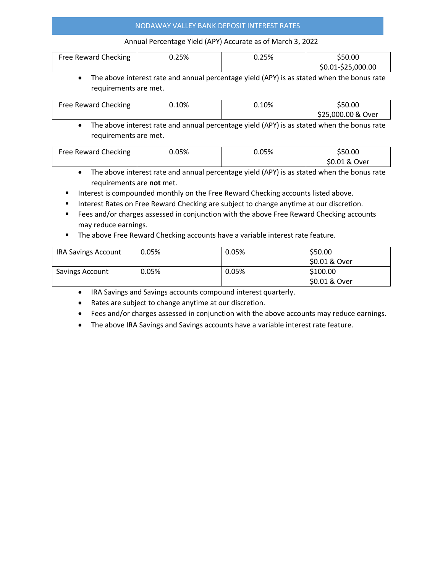# NODAWAY VALLEY BANK DEPOSIT INTEREST RATES

## Annual Percentage Yield (APY) Accurate as of March 3, 2022

| Free Reward Checking | 0.25% | 0.25% | \$50.00            |
|----------------------|-------|-------|--------------------|
|                      |       |       | \$0.01-\$25,000.00 |

• The above interest rate and annual percentage yield (APY) is as stated when the bonus rate requirements are met.

| Free Reward Checking                                                                                           | 0.10% | 0.10% | \$50.00            |
|----------------------------------------------------------------------------------------------------------------|-------|-------|--------------------|
|                                                                                                                |       |       | \$25,000.00 & Over |
| وعدس ويرويوها ومالا ورموان المعلولة ومروز (٨٥١/ الرام) ، وموطورووسوس امرسوم المرم وعمر عوديو عربوا ورومام وملا |       |       |                    |

 The above interest rate and annual percentage yield (APY) is as stated when the bonus rate requirements are met.

| Free Reward Checking | 0.05% | 0.05% | \$50.00       |
|----------------------|-------|-------|---------------|
|                      |       |       | \$0.01 & Over |

- The above interest rate and annual percentage yield (APY) is as stated when the bonus rate requirements are **not** met.
- **Interest is compounded monthly on the Free Reward Checking accounts listed above.**
- **Interest Rates on Free Reward Checking are subject to change anytime at our discretion.**
- **Fees and/or charges assessed in conjunction with the above Free Reward Checking accounts** may reduce earnings.
- **The above Free Reward Checking accounts have a variable interest rate feature.**

| <b>IRA Savings Account</b> | 0.05% | 0.05% | \$50.00<br>\$0.01 & Over  |
|----------------------------|-------|-------|---------------------------|
| Savings Account            | 0.05% | 0.05% | \$100.00<br>\$0.01 & Over |

- IRA Savings and Savings accounts compound interest quarterly.
- Rates are subject to change anytime at our discretion.
- Fees and/or charges assessed in conjunction with the above accounts may reduce earnings.
- The above IRA Savings and Savings accounts have a variable interest rate feature.